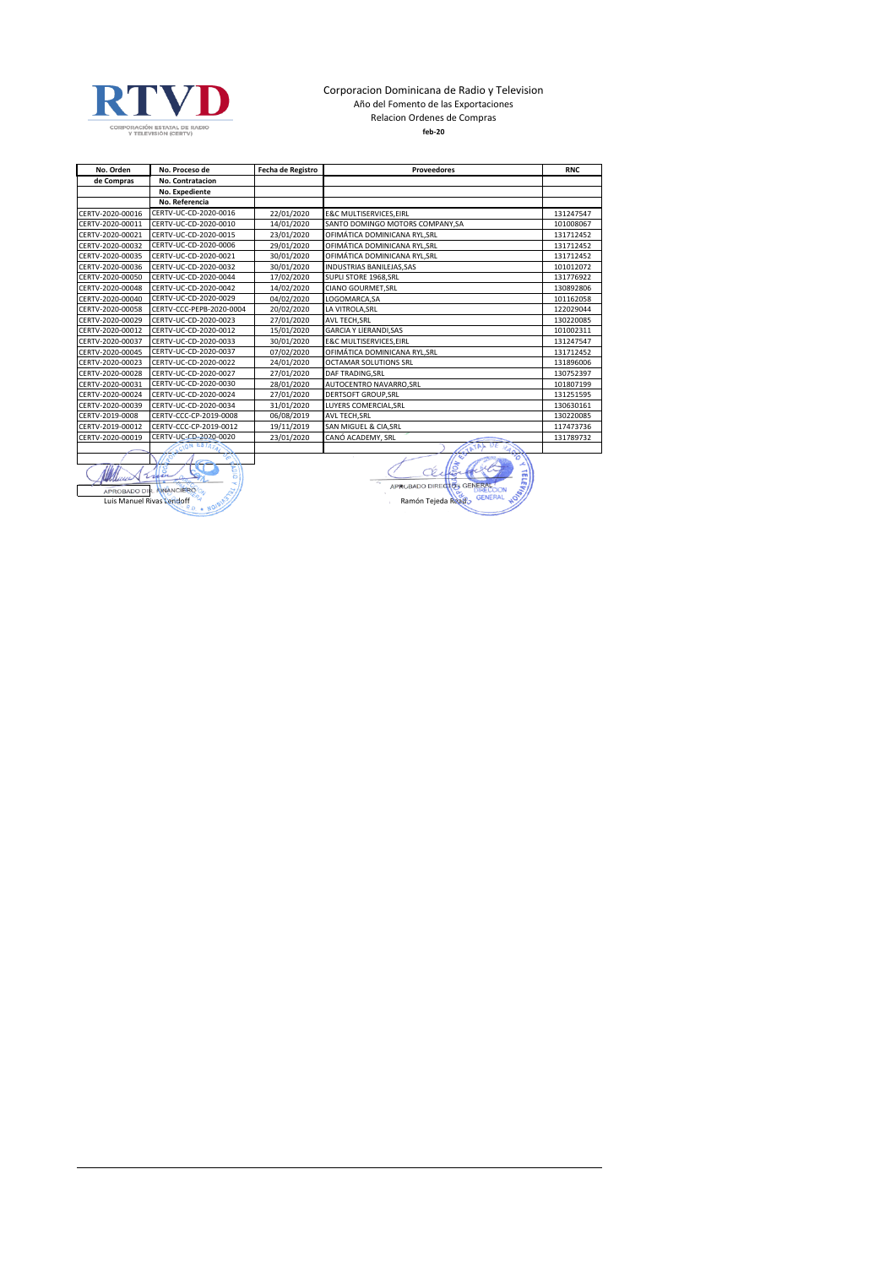

## Corporacion Dominicana de Radio y Television Año del Fomento de las Exportaciones Relacion Ordenes de Compras **feb-20**

| No. Orden        | No. Proceso de           | Fecha de Registro | <b>Proveedores</b>                | <b>RNC</b> |
|------------------|--------------------------|-------------------|-----------------------------------|------------|
| de Compras       | No. Contratacion         |                   |                                   |            |
|                  | No. Expediente           |                   |                                   |            |
|                  | No. Referencia           |                   |                                   |            |
| CERTV-2020-00016 | CERTV-UC-CD-2020-0016    | 22/01/2020        | <b>E&amp;C MULTISERVICES.EIRL</b> | 131247547  |
| CERTV-2020-00011 | CERTV-UC-CD-2020-0010    | 14/01/2020        | SANTO DOMINGO MOTORS COMPANY.SA   | 101008067  |
| CERTV-2020-00021 | CERTV-UC-CD-2020-0015    | 23/01/2020        | OFIMÁTICA DOMINICANA RYL, SRL     | 131712452  |
| CERTV-2020-00032 | CERTV-UC-CD-2020-0006    | 29/01/2020        | OFIMÁTICA DOMINICANA RYL, SRL     | 131712452  |
| CERTV-2020-00035 | CERTV-UC-CD-2020-0021    | 30/01/2020        | OFIMÁTICA DOMINICANA RYL, SRL     | 131712452  |
| CERTV-2020-00036 | CERTV-UC-CD-2020-0032    | 30/01/2020        | <b>INDUSTRIAS BANILEJAS.SAS</b>   | 101012072  |
| CERTV-2020-00050 | CERTV-UC-CD-2020-0044    | 17/02/2020        | SUPLI STORE 1968, SRL             | 131776922  |
| CERTV-2020-00048 | CERTV-UC-CD-2020-0042    | 14/02/2020        | CIANO GOURMET, SRL                | 130892806  |
| CERTV-2020-00040 | CERTV-UC-CD-2020-0029    | 04/02/2020        | LOGOMARCA.SA                      | 101162058  |
| CERTV-2020-00058 | CERTV-CCC-PEPB-2020-0004 | 20/02/2020        | LA VITROLA.SRL                    | 122029044  |
| CERTV-2020-00029 | CERTV-UC-CD-2020-0023    | 27/01/2020        | AVL TECH, SRL                     | 130220085  |
| CERTV-2020-00012 | CERTV-UC-CD-2020-0012    | 15/01/2020        | <b>GARCIA Y LIERANDI.SAS</b>      | 101002311  |
| CERTV-2020-00037 | CERTV-UC-CD-2020-0033    | 30/01/2020        | <b>E&amp;C MULTISERVICES.EIRL</b> | 131247547  |
| CERTV-2020-00045 | CERTV-UC-CD-2020-0037    | 07/02/2020        | OFIMÁTICA DOMINICANA RYL, SRL     | 131712452  |
| CERTV-2020-00023 | CERTV-UC-CD-2020-0022    | 24/01/2020        | OCTAMAR SOLUTIONS SRL             | 131896006  |
| CERTV-2020-00028 | CERTV-UC-CD-2020-0027    | 27/01/2020        | DAF TRADING, SRL                  | 130752397  |
| CERTV-2020-00031 | CERTV-UC-CD-2020-0030    | 28/01/2020        | AUTOCENTRO NAVARRO, SRL           | 101807199  |
| CERTV-2020-00024 | CERTV-UC-CD-2020-0024    | 27/01/2020        | <b>DERTSOFT GROUP, SRL</b>        | 131251595  |
| CERTV-2020-00039 | CERTV-UC-CD-2020-0034    | 31/01/2020        | LUYERS COMERCIAL, SRL             | 130630161  |
| CERTV-2019-0008  | CERTV-CCC-CP-2019-0008   | 06/08/2019        | AVL TECH, SRL                     | 130220085  |
| CERTV-2019-00012 | CERTV-CCC-CP-2019-0012   | 19/11/2019        | SAN MIGUEL & CIA, SRL             | 117473736  |
| CERTV-2020-00019 | CERTV-UC-CD-2020-0020    | 23/01/2020        | CANÓ ACADEMY, SRL                 | 131789732  |
|                  |                          |                   | υF<br>TATAL                       |            |
|                  |                          |                   | $\mathcal{P}_{\mathcal{O}}$<br>É  |            |

S  $\sqrt{u^2}$ APROBADO DIR RIVANCIERO CONTRA CONTRA CONTRA CONTRA CONTRA CONTRA CONTRA CONTRA CONTRA CONTRA CONTRA CONTRA CONTRA CONTRA CONTRA CONTRA CONTRA CONTRA CONTRA CONTRA CONTRA CONTRA CONTRA CONTRA CONTRA CONTRA CONTRA CONTRA CO